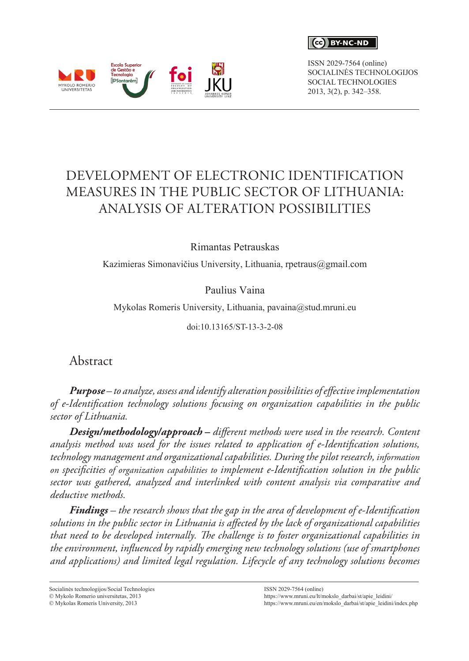

ISSN 2029-7564 (online) SOCIALINĖS TECHNOLOGIJOS SOCIAL TECHNOLOGIES 2013, 3(2), p. 342–358.



# DEVELOPMENT OF ELECTRONIC IDENTIFICATION MEASURES IN THE PUBLIC SECTOR OF LITHUANIA: ANALYSIS OF ALTERATION POSSIBILITIES

Rimantas Petrauskas

Kazimieras Simonavičius University, Lithuania, [rpetraus@gmail.com](mailto:rpetraus@gmail.com)

Paulius Vaina

Mykolas Romeris University, Lithuania, pavaina@stud.mruni.eu

doi:10.13165/ST-13-3-2-08

Abstract

*Purpose – to analyze, assess and identify alteration possibilities of effective implementation of e-Identification technology solutions focusing on organization capabilities in the public sector of Lithuania.* 

*Design/methodology/approach* **–** *different methods were used in the research. Content analysis method was used for the issues related to application of e-Identification solutions, technology management and organizational capabilities. During the pilot research, information on specificities of organization capabilities to implement e-Identification solution in the public sector was gathered, analyzed and interlinked with content analysis via comparative and deductive methods.*

*Findings – the research shows that the gap in the area of development of e-Identification solutions in the public sector in Lithuania is affected by the lack of organizational capabilities that need to be developed internally. The challenge is to foster organizational capabilities in the environment, influenced by rapidly emerging new technology solutions (use of smartphones and applications) and limited legal regulation. Lifecycle of any technology solutions becomes* 

Socialinės technologijos/Social Technologies

 $© Mykolo$  Romerio universitetas, 2013

 $\circ$  Mykolas Romeris University, 2013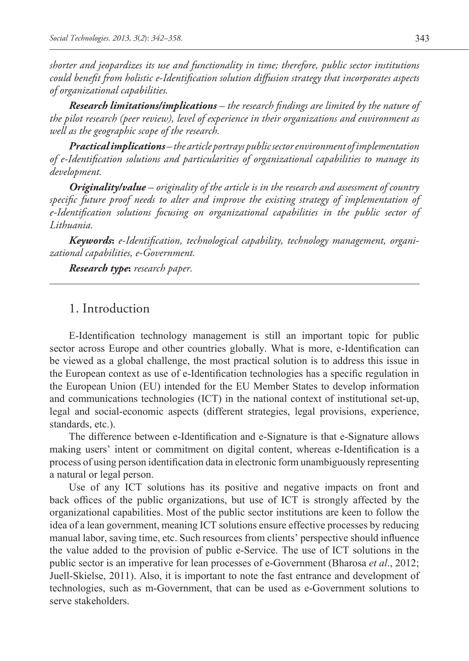*shorter and jeopardizes its use and functionality in time; therefore, public sector institutions could benefit from holistic e-Identification solution diffusion strategy that incorporates aspects of organizational capabilities.*

*Research limitations/implications – the research findings are limited by the nature of the pilot research (peer review), level of experience in their organizations and environment as well as the geographic scope of the research.*

*Practical implications– the article portrays public sector environment of implementation of e-Identification solutions and particularities of organizational capabilities to manage its development.* 

*Originality/value – originality of the article is in the research and assessment of country specific future proof needs to alter and improve the existing strategy of implementation of e-Identification solutions focusing on organizational capabilities in the public sector of Lithuania.* 

*Keywords***:** *e-Identification, technological capability, technology management, organizational capabilities, e-Government.* 

*Research type***:** *research paper.*

## 1. Introduction

E-Identification technology management is still an important topic for public sector across Europe and other countries globally. What is more, e-Identification can be viewed as a global challenge, the most practical solution is to address this issue in the European context as use of e-Identification technologies has a specific regulation in the European Union (EU) intended for the EU Member States to develop information and communications technologies (ICT) in the national context of institutional set-up, legal and social-economic aspects (different strategies, legal provisions, experience, standards, etc.).

The difference between e-Identification and e-Signature is that e-Signature allows making users' intent or commitment on digital content, whereas e-Identification is a process of using person identification data in electronic form unambiguously representing a natural or legal person.

Use of any ICT solutions has its positive and negative impacts on front and back offices of the public organizations, but use of ICT is strongly affected by the organizational capabilities. Most of the public sector institutions are keen to follow the idea of a lean government, meaning ICT solutions ensure effective processes by reducing manual labor, saving time, etc. Such resources from clients' perspective should influence the value added to the provision of public e-Service. The use of ICT solutions in the public sector is an imperative for lean processes of e-Government (Bharosa *et al*., 2012; Juell-Skielse, 2011). Also, it is important to note the fast entrance and development of technologies, such as m-Government, that can be used as e-Government solutions to serve stakeholders.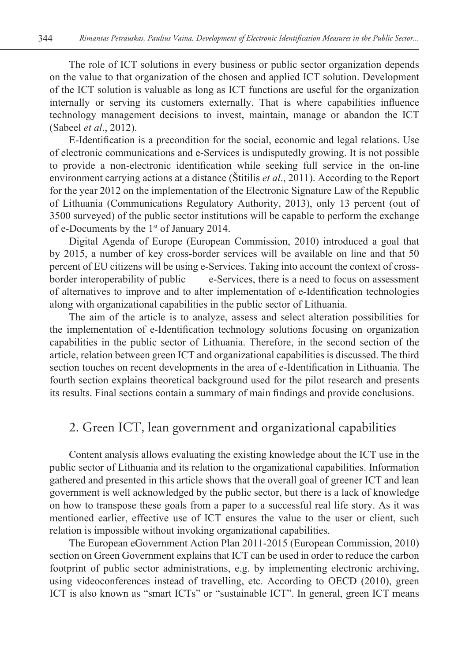The role of ICT solutions in every business or public sector organization depends on the value to that organization of the chosen and applied ICT solution. Development of the ICT solution is valuable as long as ICT functions are useful for the organization internally or serving its customers externally. That is where capabilities influence technology management decisions to invest, maintain, manage or abandon the ICT (Sabeel *et al*., 2012).

E-Identification is a precondition for the social, economic and legal relations. Use of electronic communications and e-Services is undisputedly growing. It is not possible to provide a non-electronic identification while seeking full service in the on-line environment carrying actions at a distance (Štitilis *et al*., 2011). According to the Report for the year 2012 on the implementation of the Electronic Signature Law of the Republic of Lithuania (Communications Regulatory Authority, 2013), only 13 percent (out of 3500 surveyed) of the public sector institutions will be capable to perform the exchange of e-Documents by the 1st of January 2014.

Digital Agenda of Europe (European Commission, 2010) introduced a goal that by 2015, a number of key cross-border services will be available on line and that 50 percent of EU citizens will be using e-Services. Taking into account the context of crossborder interoperability of public e-Services, there is a need to focus on assessment of alternatives to improve and to alter implementation of e-Identification technologies along with organizational capabilities in the public sector of Lithuania.

The aim of the article is to analyze, assess and select alteration possibilities for the implementation of e-Identification technology solutions focusing on organization capabilities in the public sector of Lithuania. Therefore, in the second section of the article, relation between green ICT and organizational capabilities is discussed. The third section touches on recent developments in the area of e-Identification in Lithuania. The fourth section explains theoretical background used for the pilot research and presents its results. Final sections contain a summary of main findings and provide conclusions.

## 2. Green ICT, lean government and organizational capabilities

Content analysis allows evaluating the existing knowledge about the ICT use in the public sector of Lithuania and its relation to the organizational capabilities. Information gathered and presented in this article shows that the overall goal of greener ICT and lean government is well acknowledged by the public sector, but there is a lack of knowledge on how to transpose these goals from a paper to a successful real life story. As it was mentioned earlier, effective use of ICT ensures the value to the user or client, such relation is impossible without invoking organizational capabilities.

The European eGovernment Action Plan 2011-2015 (European Commission, 2010) section on Green Government explains that ICT can be used in order to reduce the carbon footprint of public sector administrations, e.g. by implementing electronic archiving, using videoconferences instead of travelling, etc. According to OECD (2010), green ICT is also known as "smart ICTs" or "sustainable ICT". In general, green ICT means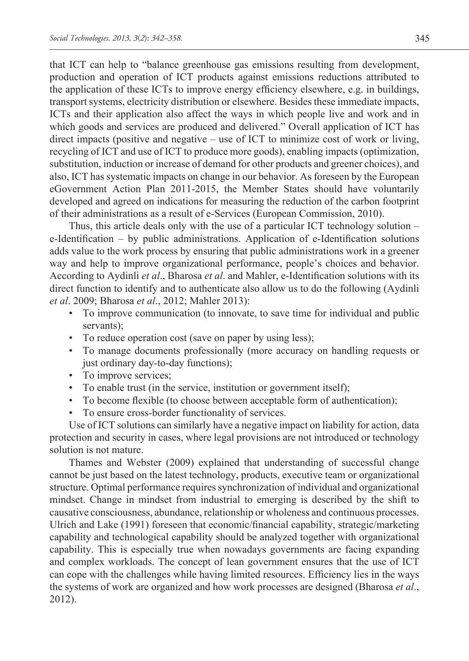that ICT can help to "balance greenhouse gas emissions resulting from development, production and operation of ICT products against emissions reductions attributed to the application of these ICTs to improve energy efficiency elsewhere, e.g. in buildings, transport systems, electricity distribution or elsewhere. Besides these immediate impacts, ICTs and their application also affect the ways in which people live and work and in which goods and services are produced and delivered." Overall application of ICT has direct impacts (positive and negative – use of ICT to minimize cost of work or living, recycling of ICT and use of ICT to produce more goods), enabling impacts (optimization, substitution, induction or increase of demand for other products and greener choices), and also, ICT has systematic impacts on change in our behavior. As foreseen by the European eGovernment Action Plan 2011-2015, the Member States should have voluntarily developed and agreed on indications for measuring the reduction of the carbon footprint of their administrations as a result of e-Services (European Commission, 2010).

Thus, this article deals only with the use of a particular ICT technology solution – e-Identification – by public administrations. Application of e-Identification solutions adds value to the work process by ensuring that public administrations work in a greener way and help to improve organizational performance, people's choices and behavior. According to Aydinli *et al*., Bharosa *et al*. and Mahler, e-Identification solutions with its direct function to identify and to authenticate also allow us to do the following (Aydinli *et al*. 2009; Bharosa *et al*., 2012; Mahler 2013):

- To improve communication (to innovate, to save time for individual and public servants);
- To reduce operation cost (save on paper by using less);
- To manage documents professionally (more accuracy on handling requests or just ordinary day-to-day functions);
- To improve services;
- To enable trust (in the service, institution or government itself);
- To become flexible (to choose between acceptable form of authentication);
- To ensure cross-border functionality of services.

Use of ICT solutions can similarly have a negative impact on liability for action, data protection and security in cases, where legal provisions are not introduced or technology solution is not mature.

Thames and Webster (2009) explained that understanding of successful change cannot be just based on the latest technology, products, executive team or organizational structure. Optimal performance requires synchronization of individual and organizational mindset. Change in mindset from industrial to emerging is described by the shift to causative consciousness, abundance, relationship or wholeness and continuous processes. Ulrich and Lake (1991) foreseen that economic/financial capability, strategic/marketing capability and technological capability should be analyzed together with organizational capability. This is especially true when nowadays governments are facing expanding and complex workloads. The concept of lean government ensures that the use of ICT can cope with the challenges while having limited resources. Efficiency lies in the ways the systems of work are organized and how work processes are designed (Bharosa *et al*., 2012).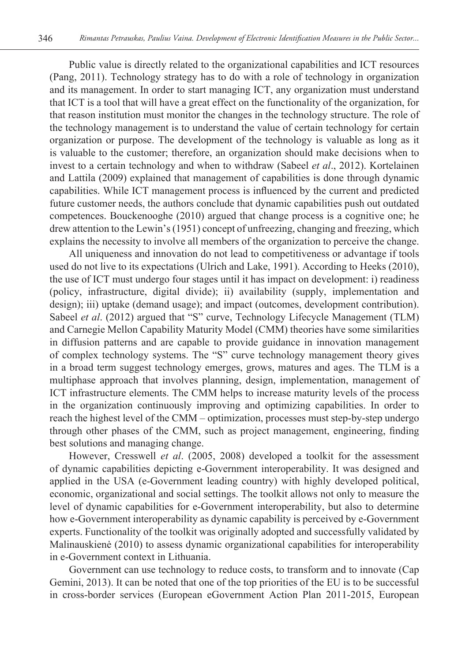Public value is directly related to the organizational capabilities and ICT resources (Pang, 2011). Technology strategy has to do with a role of technology in organization and its management. In order to start managing ICT, any organization must understand that ICT is a tool that will have a great effect on the functionality of the organization, for that reason institution must monitor the changes in the technology structure. The role of the technology management is to understand the value of certain technology for certain organization or purpose. The development of the technology is valuable as long as it is valuable to the customer; therefore, an organization should make decisions when to invest to a certain technology and when to withdraw (Sabeel *et al*., 2012). Kortelainen and Lattila (2009) explained that management of capabilities is done through dynamic capabilities. While ICT management process is influenced by the current and predicted future customer needs, the authors conclude that dynamic capabilities push out outdated competences. Bouckenooghe (2010) argued that change process is a cognitive one; he drew attention to the Lewin's (1951) concept of unfreezing, changing and freezing, which explains the necessity to involve all members of the organization to perceive the change.

All uniqueness and innovation do not lead to competitiveness or advantage if tools used do not live to its expectations (Ulrich and Lake, 1991). According to Heeks (2010), the use of ICT must undergo four stages until it has impact on development: i) readiness (policy, infrastructure, digital divide); ii) availability (supply, implementation and design); iii) uptake (demand usage); and impact (outcomes, development contribution). Sabeel *et al.* (2012) argued that "S" curve, Technology Lifecycle Management (TLM) and Carnegie Mellon Capability Maturity Model (CMM) theories have some similarities in diffusion patterns and are capable to provide guidance in innovation management of complex technology systems. The "S" curve technology management theory gives in a broad term suggest technology emerges, grows, matures and ages. The TLM is a multiphase approach that involves planning, design, implementation, management of ICT infrastructure elements. The CMM helps to increase maturity levels of the process in the organization continuously improving and optimizing capabilities. In order to reach the highest level of the CMM – optimization, processes must step-by-step undergo through other phases of the CMM, such as project management, engineering, finding best solutions and managing change.

However, Cresswell *et al*. (2005, 2008) developed a toolkit for the assessment of dynamic capabilities depicting e-Government interoperability. It was designed and applied in the USA (e-Government leading country) with highly developed political, economic, organizational and social settings. The toolkit allows not only to measure the level of dynamic capabilities for e-Government interoperability, but also to determine how e-Government interoperability as dynamic capability is perceived by e-Government experts. Functionality of the toolkit was originally adopted and successfully validated by Malinauskienė (2010) to assess dynamic organizational capabilities for interoperability in e-Government context in Lithuania.

Government can use technology to reduce costs, to transform and to innovate (Cap Gemini, 2013). It can be noted that one of the top priorities of the EU is to be successful in cross-border services (European eGovernment Action Plan 2011-2015, European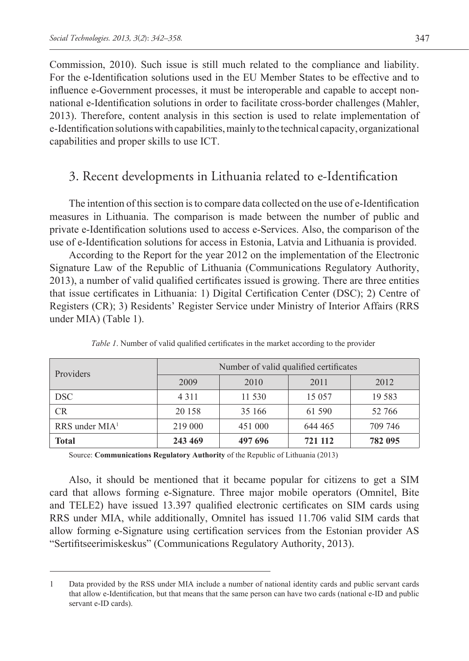Commission, 2010). Such issue is still much related to the compliance and liability. For the e-Identification solutions used in the EU Member States to be effective and to influence e-Government processes, it must be interoperable and capable to accept nonnational e-Identification solutions in order to facilitate cross-border challenges (Mahler, 2013). Therefore, content analysis in this section is used to relate implementation of e-Identification solutions with capabilities, mainly to the technical capacity, organizational capabilities and proper skills to use ICT.

### 3. Recent developments in Lithuania related to e-Identification

The intention of this section is to compare data collected on the use of e-Identification measures in Lithuania. The comparison is made between the number of public and private e-Identification solutions used to access e-Services. Also, the comparison of the use of e-Identification solutions for access in Estonia, Latvia and Lithuania is provided.

According to the Report for the year 2012 on the implementation of the Electronic Signature Law of the Republic of Lithuania (Communications Regulatory Authority, 2013), a number of valid qualified certificates issued is growing. There are three entities that issue certificates in Lithuania: 1) Digital Certification Center (DSC); 2) Centre of Registers (CR); 3) Residents' Register Service under Ministry of Interior Affairs (RRS under MIA) (Table 1).

| Providers          | Number of valid qualified certificates |         |         |          |
|--------------------|----------------------------------------|---------|---------|----------|
|                    | 2009                                   | 2010    | 2011    | 2012     |
| <b>DSC</b>         | 4 3 1 1                                | 11 530  | 15 0 57 | 19 5 8 3 |
| <b>CR</b>          | 20 158                                 | 35 166  | 61 590  | 52 766   |
| $RRS$ under $MIA1$ | 219 000                                | 451 000 | 644 465 | 709 746  |
| <b>Total</b>       | 243 469                                | 497 696 | 721 112 | 782 095  |

*Table 1*. Number of valid qualified certificates in the market according to the provider

Source: **Communications Regulatory Authority** of the Republic of Lithuania (2013)

Also, it should be mentioned that it became popular for citizens to get a SIM card that allows forming e-Signature. Three major mobile operators (Omnitel, Bite and TELE2) have issued 13.397 qualified electronic certificates on SIM cards using RRS under MIA, while additionally, Omnitel has issued 11.706 valid SIM cards that allow forming e-Signature using certification services from the Estonian provider AS "Sertifitseerimiskeskus" (Communications Regulatory Authority, 2013).

<sup>1</sup> Data provided by the RSS under MIA include a number of national identity cards and public servant cards that allow e-Identification, but that means that the same person can have two cards (national e-ID and public servant e-ID cards).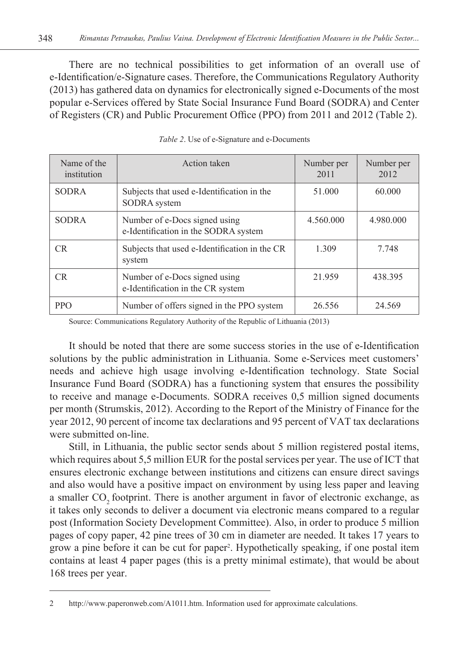There are no technical possibilities to get information of an overall use of e-Identification/e-Signature cases. Therefore, the Communications Regulatory Authority (2013) has gathered data on dynamics for electronically signed e-Documents of the most popular e-Services offered by State Social Insurance Fund Board (SODRA) and Center of Registers (CR) and Public Procurement Office (PPO) from 2011 and 2012 (Table 2).

| Name of the<br>institution | Action taken                                                          | Number per<br>2011 | Number per<br>2012 |
|----------------------------|-----------------------------------------------------------------------|--------------------|--------------------|
| <b>SODRA</b>               | Subjects that used e-Identification in the<br>SODRA system            | 51.000             | 60.000             |
| <b>SODRA</b>               | Number of e-Docs signed using<br>e-Identification in the SODRA system | 4.560.000          | 4.980.000          |
| CR.                        | Subjects that used e-Identification in the CR<br>system               | 1.309              | 7.748              |
| CR.                        | Number of e-Docs signed using<br>e-Identification in the CR system    | 21.959             | 438.395            |
| <b>PPO</b>                 | Number of offers signed in the PPO system                             | 26.556             | 24.569             |

*Table 2*. Use of e-Signature and e-Documents

Source: Communications Regulatory Authority of the Republic of Lithuania (2013)

It should be noted that there are some success stories in the use of e-Identification solutions by the public administration in Lithuania. Some e-Services meet customers' needs and achieve high usage involving e-Identification technology. State Social Insurance Fund Board (SODRA) has a functioning system that ensures the possibility to receive and manage e-Documents. SODRA receives 0,5 million signed documents per month (Strumskis, 2012). According to the Report of the Ministry of Finance for the year 2012, 90 percent of income tax declarations and 95 percent of VAT tax declarations were submitted on-line.

Still, in Lithuania, the public sector sends about 5 million registered postal items, which requires about 5,5 million EUR for the postal services per year. The use of ICT that ensures electronic exchange between institutions and citizens can ensure direct savings and also would have a positive impact on environment by using less paper and leaving a smaller CO<sub>2</sub> footprint. There is another argument in favor of electronic exchange, as it takes only seconds to deliver a document via electronic means compared to a regular post (Information Society Development Committee). Also, in order to produce 5 million pages of copy paper, 42 pine trees of 30 cm in diameter are needed. It takes 17 years to grow a pine before it can be cut for paper2 . Hypothetically speaking, if one postal item contains at least 4 paper pages (this is a pretty minimal estimate), that would be about 168 trees per year.

<sup>2</sup> [http://www.paperonweb.com/A1011.htm.](http://www.paperonweb.com/A1011.htm) Information used for approximate calculations.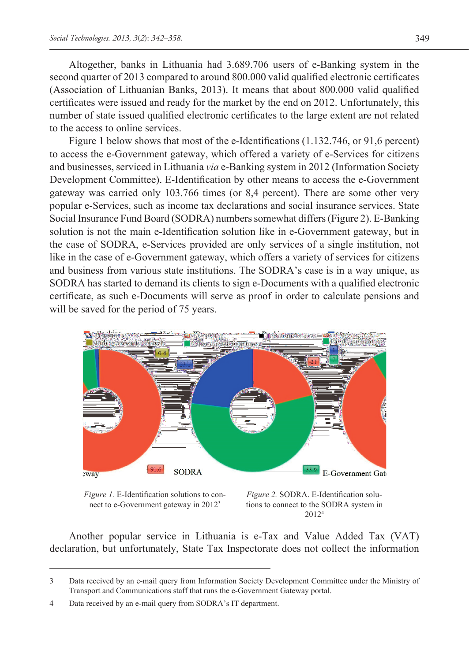Altogether, banks in Lithuania had 3.689.706 users of e-Banking system in the second quarter of 2013 compared to around 800.000 valid qualified electronic certificates (Association of Lithuanian Banks, 2013). It means that about 800.000 valid qualified certificates were issued and ready for the market by the end on 2012. Unfortunately, this number of state issued qualified electronic certificates to the large extent are not related to the access to online services.

Figure 1 below shows that most of the e-Identifications (1.132.746, or 91,6 percent) to access the e-Government gateway, which offered a variety of e-Services for citizens and businesses, serviced in Lithuania *via* e-Banking system in 2012 (Information Society Development Committee). E-Identification by other means to access the e-Government gateway was carried only 103.766 times (or 8,4 percent). There are some other very popular e-Services, such as income tax declarations and social insurance services. State Social Insurance Fund Board (SODRA) numbers somewhat differs (Figure 2). E-Banking solution is not the main e-Identification solution like in e-Government gateway, but in the case of SODRA, e-Services provided are only services of a single institution, not like in the case of e-Government gateway, which offers a variety of services for citizens and business from various state institutions. The SODRA's case is in a way unique, as SODRA has started to demand its clients to sign e-Documents with a qualified electronic certificate, as such e-Documents will serve as proof in order to calculate pensions and will be saved for the period of 75 years.



*Figure 1.* E-Identification solutions to connect to e-Government gateway in 20123

*Figure 2.* SODRA. E-Identification solutions to connect to the SODRA system in 20124

Another popular service in Lithuania is e-Tax and Value Added Tax (VAT) declaration, but unfortunately, State Tax Inspectorate does not collect the information

<sup>3</sup> Data received by an e-mail query from Information Society Development Committee under the Ministry of Transport and Communications staff that runs the e-Government Gateway portal.

<sup>4</sup> Data received by an e-mail query from SODRA's IT department.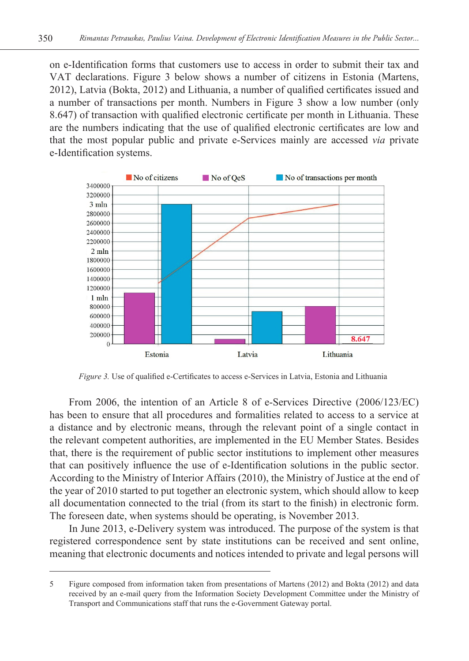on e-Identification forms that customers use to access in order to submit their tax and VAT declarations. Figure 3 below shows a number of citizens in Estonia (Martens, 2012), Latvia (Bokta, 2012) and Lithuania, a number of qualified certificates issued and a number of transactions per month. Numbers in Figure 3 show a low number (only 8.647) of transaction with qualified electronic certificate per month in Lithuania. These are the numbers indicating that the use of qualified electronic certificates are low and that the most popular public and private e-Services mainly are accessed *via* private e-Identification systems.



*Figure 3.* Use of qualified e-Certificates to access e-Services in Latvia, Estonia and Lithuania

From 2006, the intention of an Article 8 of e-Services Directive (2006/123/EC) has been to ensure that all procedures and formalities related to access to a service at a distance and by electronic means, through the relevant point of a single contact in the relevant competent authorities, are implemented in the EU Member States. Besides that, there is the requirement of public sector institutions to implement other measures that can positively influence the use of e-Identification solutions in the public sector. According to the Ministry of Interior Affairs (2010), the Ministry of Justice at the end of the year of 2010 started to put together an electronic system, which should allow to keep all documentation connected to the trial (from its start to the finish) in electronic form. The foreseen date, when systems should be operating, is November 2013.

In June 2013, e-Delivery system was introduced. The purpose of the system is that registered correspondence sent by state institutions can be received and sent online, meaning that electronic documents and notices intended to private and legal persons will

<sup>5</sup> Figure composed from information taken from presentations of Martens (2012) and Bokta (2012) and data received by an e-mail query from the Information Society Development Committee under the Ministry of Transport and Communications staff that runs the e-Government Gateway portal.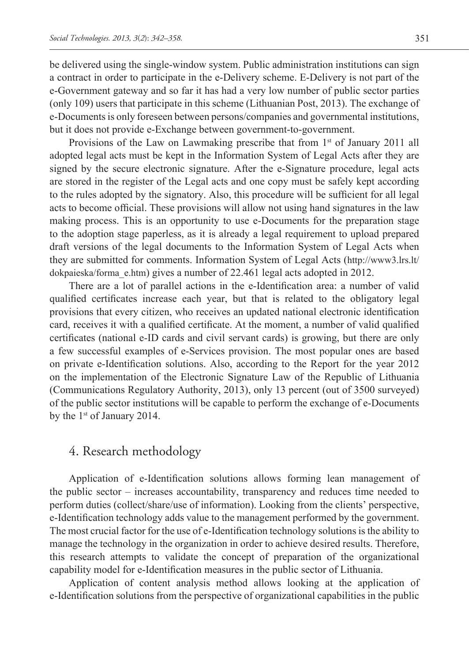be delivered using the single-window system. Public administration institutions can sign a contract in order to participate in the e-Delivery scheme. E-Delivery is not part of the e-Government gateway and so far it has had a very low number of public sector parties (only 109) users that participate in this scheme (Lithuanian Post, 2013). The exchange of e-Documents is only foreseen between persons/companies and governmental institutions, but it does not provide e-Exchange between government-to-government.

Provisions of the Law on Lawmaking prescribe that from  $1<sup>st</sup>$  of January 2011 all adopted legal acts must be kept in the Information System of Legal Acts after they are signed by the secure electronic signature. After the e-Signature procedure, legal acts are stored in the register of the Legal acts and one copy must be safely kept according to the rules adopted by the signatory. Also, this procedure will be sufficient for all legal acts to become official. These provisions will allow not using hand signatures in the law making process. This is an opportunity to use e-Documents for the preparation stage to the adoption stage paperless, as it is already a legal requirement to upload prepared draft versions of the legal documents to the Information System of Legal Acts when they are submitted for comments. Information System of Legal Acts [\(http://www3.lrs.lt/](http://www3.lrs.lt/dokpaieska/forma_e.htm) [dokpaieska/forma\\_e.htm](http://www3.lrs.lt/dokpaieska/forma_e.htm)) gives a number of 22.461 legal acts adopted in 2012.

There are a lot of parallel actions in the e-Identification area: a number of valid qualified certificates increase each year, but that is related to the obligatory legal provisions that every citizen, who receives an updated national electronic identification card, receives it with a qualified certificate. At the moment, a number of valid qualified certificates (national e-ID cards and civil servant cards) is growing, but there are only a few successful examples of e-Services provision. The most popular ones are based on private e-Identification solutions. Also, according to the Report for the year 2012 on the implementation of the Electronic Signature Law of the Republic of Lithuania (Communications Regulatory Authority, 2013), only 13 percent (out of 3500 surveyed) of the public sector institutions will be capable to perform the exchange of e-Documents by the  $1<sup>st</sup>$  of January 2014.

### 4. Research methodology

Application of e-Identification solutions allows forming lean management of the public sector – increases accountability, transparency and reduces time needed to perform duties (collect/share/use of information). Looking from the clients' perspective, e-Identification technology adds value to the management performed by the government. The most crucial factor for the use of e-Identification technology solutions is the ability to manage the technology in the organization in order to achieve desired results. Therefore, this research attempts to validate the concept of preparation of the organizational capability model for e-Identification measures in the public sector of Lithuania.

Application of content analysis method allows looking at the application of e-Identification solutions from the perspective of organizational capabilities in the public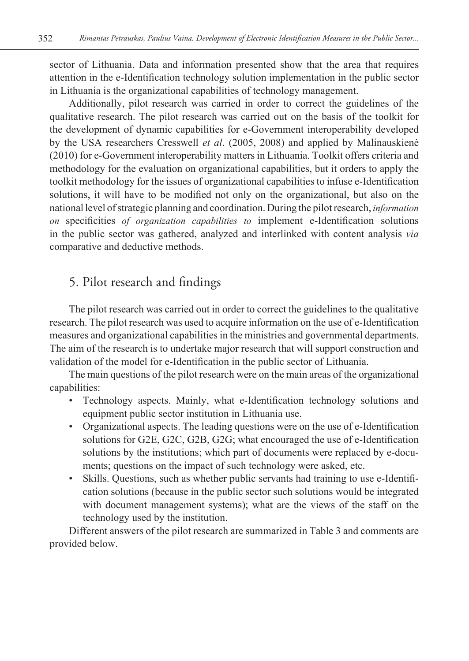sector of Lithuania. Data and information presented show that the area that requires attention in the e-Identification technology solution implementation in the public sector in Lithuania is the organizational capabilities of technology management.

Additionally, pilot research was carried in order to correct the guidelines of the qualitative research. The pilot research was carried out on the basis of the toolkit for the development of dynamic capabilities for e-Government interoperability developed by the USA researchers Cresswell *et al*. (2005, 2008) and applied by Malinauskienė (2010) for e-Government interoperability matters in Lithuania. Toolkit offers criteria and methodology for the evaluation on organizational capabilities, but it orders to apply the toolkit methodology for the issues of organizational capabilities to infuse e-Identification solutions, it will have to be modified not only on the organizational, but also on the national level of strategic planning and coordination. During the pilot research, *information on* specificities *of organization capabilities to* implement e-Identification solutions in the public sector was gathered, analyzed and interlinked with content analysis *via* comparative and deductive methods.

## 5. Pilot research and findings

The pilot research was carried out in order to correct the guidelines to the qualitative research. The pilot research was used to acquire information on the use of e-Identification measures and organizational capabilities in the ministries and governmental departments. The aim of the research is to undertake major research that will support construction and validation of the model for e-Identification in the public sector of Lithuania.

The main questions of the pilot research were on the main areas of the organizational capabilities:

- Technology aspects. Mainly, what e-Identification technology solutions and equipment public sector institution in Lithuania use.
- Organizational aspects. The leading questions were on the use of e-Identification solutions for G2E, G2C, G2B, G2G; what encouraged the use of e-Identification solutions by the institutions; which part of documents were replaced by e-documents; questions on the impact of such technology were asked, etc.
- Skills. Questions, such as whether public servants had training to use e-Identification solutions (because in the public sector such solutions would be integrated with document management systems); what are the views of the staff on the technology used by the institution.

Different answers of the pilot research are summarized in Table 3 and comments are provided below.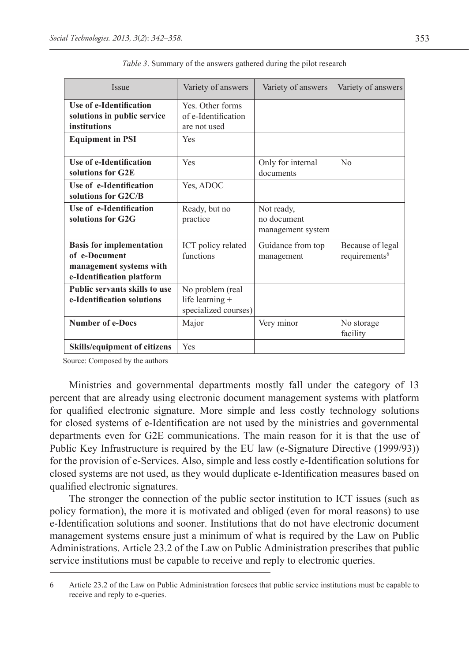| <b>Issue</b>                                                                                             | Variety of answers                                            | Variety of answers                             | Variety of answers                            |
|----------------------------------------------------------------------------------------------------------|---------------------------------------------------------------|------------------------------------------------|-----------------------------------------------|
| Use of e-Identification<br>solutions in public service<br>institutions                                   | Yes. Other forms<br>of e-Identification<br>are not used       |                                                |                                               |
| <b>Equipment in PSI</b>                                                                                  | Yes                                                           |                                                |                                               |
| Use of e-Identification<br>solutions for G2E                                                             | Yes                                                           | Only for internal<br>documents                 | No                                            |
| Use of e-Identification<br>solutions for G2C/B                                                           | Yes, ADOC                                                     |                                                |                                               |
| Use of e-Identification<br>solutions for G2G                                                             | Ready, but no<br>practice                                     | Not ready,<br>no document<br>management system |                                               |
| <b>Basis for implementation</b><br>of e-Document<br>management systems with<br>e-Identification platform | ICT policy related<br>functions                               | Guidance from top<br>management                | Because of legal<br>requirements <sup>6</sup> |
| <b>Public servants skills to use</b><br>e-Identification solutions                                       | No problem (real<br>life learning $+$<br>specialized courses) |                                                |                                               |
| <b>Number of e-Docs</b>                                                                                  | Major                                                         | Very minor                                     | No storage<br>facility                        |
| <b>Skills/equipment of citizens</b>                                                                      | Yes                                                           |                                                |                                               |

|  | <i>Table 3.</i> Summary of the answers gathered during the pilot research |
|--|---------------------------------------------------------------------------|
|  |                                                                           |

Source: Composed by the authors

Ministries and governmental departments mostly fall under the category of 13 percent that are already using electronic document management systems with platform for qualified electronic signature. More simple and less costly technology solutions for closed systems of e-Identification are not used by the ministries and governmental departments even for G2E communications. The main reason for it is that the use of Public Key Infrastructure is required by the EU law (e-Signature Directive (1999/93)) for the provision of e-Services. Also, simple and less costly e-Identification solutions for closed systems are not used, as they would duplicate e-Identification measures based on qualified electronic signatures.

The stronger the connection of the public sector institution to ICT issues (such as policy formation), the more it is motivated and obliged (even for moral reasons) to use e-Identification solutions and sooner. Institutions that do not have electronic document management systems ensure just a minimum of what is required by the Law on Public Administrations. Article 23.2 of the Law on Public Administration prescribes that public service institutions must be capable to receive and reply to electronic queries.

<sup>6</sup> Article 23.2 of the Law on Public Administration foresees that public service institutions must be capable to receive and reply to e-queries.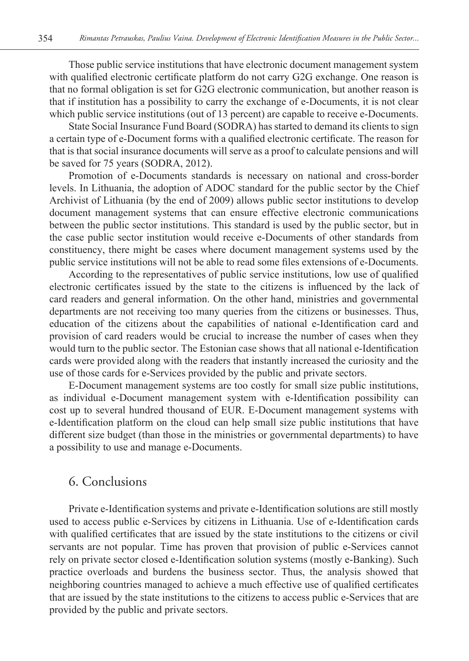Those public service institutions that have electronic document management system with qualified electronic certificate platform do not carry G2G exchange. One reason is that no formal obligation is set for G2G electronic communication, but another reason is that if institution has a possibility to carry the exchange of e-Documents, it is not clear which public service institutions (out of 13 percent) are capable to receive e-Documents.

State Social Insurance Fund Board (SODRA) has started to demand its clients to sign a certain type of e-Document forms with a qualified electronic certificate. The reason for that is that social insurance documents will serve as a proof to calculate pensions and will be saved for 75 years (SODRA, 2012).

Promotion of e-Documents standards is necessary on national and cross-border levels. In Lithuania, the adoption of ADOC standard for the public sector by the Chief Archivist of Lithuania (by the end of 2009) allows public sector institutions to develop document management systems that can ensure effective electronic communications between the public sector institutions. This standard is used by the public sector, but in the case public sector institution would receive e-Documents of other standards from constituency, there might be cases where document management systems used by the public service institutions will not be able to read some files extensions of e-Documents.

According to the representatives of public service institutions, low use of qualified electronic certificates issued by the state to the citizens is influenced by the lack of card readers and general information. On the other hand, ministries and governmental departments are not receiving too many queries from the citizens or businesses. Thus, education of the citizens about the capabilities of national e-Identification card and provision of card readers would be crucial to increase the number of cases when they would turn to the public sector. The Estonian case shows that all national e-Identification cards were provided along with the readers that instantly increased the curiosity and the use of those cards for e-Services provided by the public and private sectors.

E-Document management systems are too costly for small size public institutions, as individual e-Document management system with e-Identification possibility can cost up to several hundred thousand of EUR. E-Document management systems with e-Identification platform on the cloud can help small size public institutions that have different size budget (than those in the ministries or governmental departments) to have a possibility to use and manage e-Documents.

#### 6. Conclusions

Private e-Identification systems and private e-Identification solutions are still mostly used to access public e-Services by citizens in Lithuania. Use of e-Identification cards with qualified certificates that are issued by the state institutions to the citizens or civil servants are not popular. Time has proven that provision of public e-Services cannot rely on private sector closed e-Identification solution systems (mostly e-Banking). Such practice overloads and burdens the business sector. Thus, the analysis showed that neighboring countries managed to achieve a much effective use of qualified certificates that are issued by the state institutions to the citizens to access public e-Services that are provided by the public and private sectors.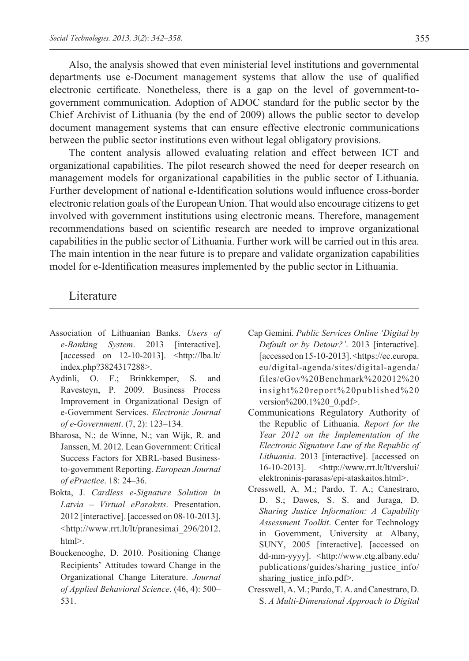Also, the analysis showed that even ministerial level institutions and governmental departments use e-Document management systems that allow the use of qualified electronic certificate. Nonetheless, there is a gap on the level of government-togovernment communication. Adoption of ADOC standard for the public sector by the Chief Archivist of Lithuania (by the end of 2009) allows the public sector to develop document management systems that can ensure effective electronic communications between the public sector institutions even without legal obligatory provisions.

The content analysis allowed evaluating relation and effect between ICT and organizational capabilities. The pilot research showed the need for deeper research on management models for organizational capabilities in the public sector of Lithuania. Further development of national e-Identification solutions would influence cross-border electronic relation goals of the European Union. That would also encourage citizens to get involved with government institutions using electronic means. Therefore, management recommendations based on scientific research are needed to improve organizational capabilities in the public sector of Lithuania. Further work will be carried out in this area. The main intention in the near future is to prepare and validate organization capabilities model for e-Identification measures implemented by the public sector in Lithuania.

#### Literature

- Association of Lithuanian Banks. *Users of e-Banking System*. 2013 [interactive]. [accessed on 12-10-2013]. <http://lba.lt/ index.php?3824317288>.
- Aydinli, O. F.; Brinkkemper, S. and Ravesteyn, P. 2009. Business Process Improvement in Organizational Design of e-Government Services. *Electronic Journal of e-Government*. (7, 2): 123–134.
- Bharosa, N.; de Winne, N.; van Wijk, R. and Janssen, M. 2012. Lean Government: Critical Success Factors for XBRL-based Businessto-government Reporting. *European Journal of ePractice*. 18: 24–36.
- Bokta, J. *Cardless e-Signature Solution in Latvia – Virtual eParaksts*. Presentation. 2012 [interactive]. [accessed on 08-10-2013]. <http://www.rrt.lt/lt/pranesimai\_296/2012. html>.
- Bouckenooghe, D. 2010. Positioning Change Recipients' Attitudes toward Change in the Organizational Change Literature. *Journal of Applied Behavioral Science*. (46, 4): 500– 531.
- Cap Gemini. *Public Services Online 'Digital by Default or by Detour?'*. 2013 [interactive]. [accessed on 15-10-2013]. <https://ec.europa. eu/digital-agenda/sites/digital-agenda/ files/eGov%20Benchmark%202012%20 insight%20report%20published%20 version%200.1%20\_0.pdf>.
- Communications Regulatory Authority of the Republic of Lithuania. *Report for the Year 2012 on the Implementation of the Electronic Signature Law of the Republic of Lithuania*. 2013 [interactive]. [accessed on 16-10-2013]. <http://www.rrt.lt/lt/verslui/ elektroninis-parasas/epi-ataskaitos.html>.
- Cresswell, A. M.; Pardo, T. A.; Canestraro, D. S.; Dawes, S. S. and Juraga, D. *Sharing Justice Information: A Capability Assessment Toolkit*. Center for Technology in Government, University at Albany, SUNY, 2005 [interactive]. [accessed on dd-mm-yyyy]. <http://www.ctg.albany.edu/ publications/guides/sharing\_justice\_info/ sharing justice info.pdf>.
- Cresswell, A. M.; Pardo, T. A. and Canestraro, D. S. *A Multi-Dimensional Approach to Digital*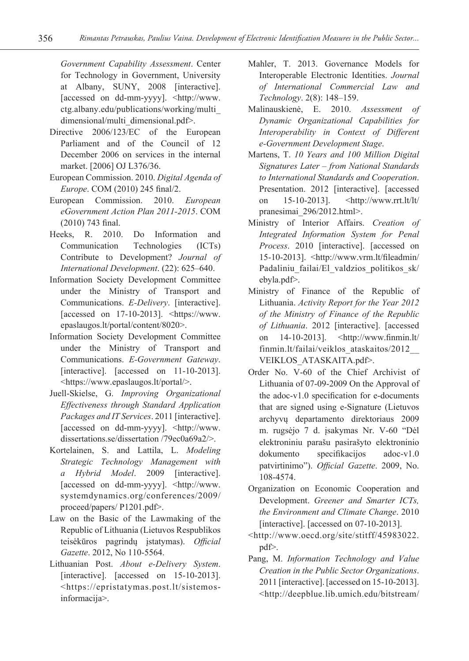*Government Capability Assessment*. Center for Technology in Government, University at Albany, SUNY, 2008 [interactive]. [accessed on dd-mm-yyyy]. <http://www. ctg.albany.edu/publications/working/multi\_ dimensional/multi\_dimensional.pdf>.

- Directive 2006/123/EC of the European Parliament and of the Council of 12 December 2006 on services in the internal market. [2006] OJ L376/36.
- European Commission. 2010. *Digital Agenda of Europe*. COM (2010) 245 final/2.
- European Commission. 2010. *European eGovernment Action Plan 2011-2015*. COM (2010) 743 final.
- Heeks, R. 2010. Do Information and Communication Technologies (ICTs) Contribute to Development? *Journal of International Development*. (22): 625–640.
- Information Society Development Committee under the Ministry of Transport and Communications. *E-Delivery*. [interactive]. [accessed on 17-10-2013]. <https://www. epaslaugos.lt/portal/content/8020>.
- Information Society Development Committee under the Ministry of Transport and Communications. *E-Government Gateway*. [interactive]. [accessed on 11-10-2013]. <https://www.epaslaugos.lt/portal/>.
- Juell-Skielse, G. *Improving Organizational Effectiveness through Standard Application Packages and IT Services*. 2011 [interactive]. [accessed on dd-mm-yyyy]. <http://www. dissertations.se/dissertation /79ec0a69a2/>.
- Kortelainen, S. and Lattila, L. *Modeling Strategic Technology Management with a Hybrid Model*. 2009 [interactive]. [accessed on dd-mm-yyyy]. <http://www. systemdynamics.org/conferences/2009/ proceed/papers/ P1201.pdf>.
- Law on the Basic of the Lawmaking of the Republic of Lithuania (Lietuvos Respublikos teisėkūros pagrindų įstatymas). *Official Gazette*. 2012, No 110-5564.
- Lithuanian Post. *About e-Delivery System*. [interactive]. [accessed on 15-10-2013]. <https://epristatymas.post.lt/sistemosinformacija>.
- Mahler, T. 2013. Governance Models for Interoperable Electronic Identities. *Journal of International Commercial Law and Technology*. 2(8): 148–159.
- Malinauskienė, E. 2010. *Assessment of Dynamic Organizational Capabilities for Interoperability in Context of Different e-Government Development Stage*.
- Martens, T. *10 Years and 100 Million Digital Signatures Later – from National Standards to International Standards and Cooperation*. Presentation. 2012 [interactive]. [accessed on 15-10-2013]. <http://www.rrt.lt/lt/ pranesimai\_296/2012.html>.
- Ministry of Interior Affairs. *Creation of Integrated Information System for Penal Process*. 2010 [interactive]. [accessed on 15-10-2013]. <http://www.vrm.lt/fileadmin/ Padaliniu failai/El valdzios politikos sk/ ebyla.pdf>.
- Ministry of Finance of the Republic of Lithuania. *Activity Report for the Year 2012 of the Ministry of Finance of the Republic of Lithuania*. 2012 [interactive]. [accessed on 14-10-2013]. <http://www.finmin.lt/ finmin.lt/failai/veiklos\_ataskaitos/2012\_\_ VEIKLOS\_ATASKAITA.pdf>.
- Order No. V-60 of the Chief Archivist of Lithuania of 07-09-2009 On the Approval of the adoc-v1.0 specification for e-documents that are signed using e-Signature (Lietuvos archyvų departamento direktoriaus 2009 m. rugsėjo 7 d. įsakymas Nr. V-60 "Dėl elektroniniu parašu pasirašyto elektroninio dokumento specifikacijos adoc-v1.0 patvirtinimo"). *Official Gazette*. 2009, No. 108-4574.
- Organization on Economic Cooperation and Development. *Greener and Smarter ICTs, the Environment and Climate Change*. 2010 [interactive]. [accessed on 07-10-2013].
- <http://www.oecd.org/site/stitff/45983022. pdf>.
- Pang, M. *Information Technology and Value Creation in the Public Sector Organizations*. 2011 [interactive]. [accessed on 15-10-2013]. <http://deepblue.lib.umich.edu/bitstream/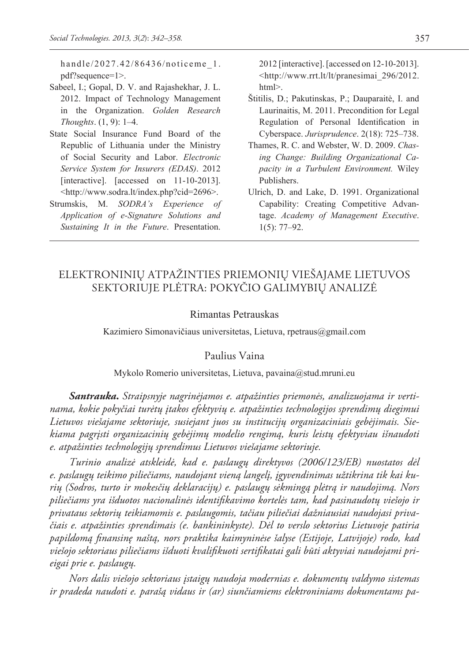handle/2027.42/86436/noticeme 1. pdf?sequence=1>.

- Sabeel, I.; Gopal, D. V. and Rajashekhar, J. L. 2012. Impact of Technology Management in the Organization. *Golden Research Thoughts*. (1, 9): 1–4.
- State Social Insurance Fund Board of the Republic of Lithuania under the Ministry of Social Security and Labor. *Electronic Service System for Insurers (EDAS)*. 2012 [interactive]. [accessed on 11-10-2013]. <http://www.sodra.lt/index.php?cid=2696>.
- Strumskis, M. *SODRA's Experience of Application of e-Signature Solutions and Sustaining It in the Future*. Presentation.

2012 [interactive]. [accessed on 12-10-2013]. <http://www.rrt.lt/lt/pranesimai\_296/2012. html>.

- Štitilis, D.; Pakutinskas, P.; Dauparaitė, I. and Laurinaitis, M. 2011. Precondition for Legal Regulation of Personal Identification in Cyberspace. *Jurisprudence*. 2(18): 725–738.
- Thames, R. C. and Webster, W. D. 2009. *Chasing Change: Building Organizational Capacity in a Turbulent Environment.* Wiley Publishers.
- Ulrich, D. and Lake, D. 1991. Organizational Capability: Creating Competitive Advantage. *Academy of Management Executive*. 1(5): 77–92.

## ELEKTRONINIŲ ATPAŽINTIES PRIEMONIŲ VIEŠAJAME LIETUVOS SEKTORIUJE PLĖTRA: POKYČIO GALIMYBIŲ ANALIZĖ

#### Rimantas Petrauskas

Kazimiero Simonavičiaus universitetas, Lietuva, rpetraus@gmail.com

#### Paulius Vaina

#### Mykolo Romerio universitetas, Lietuva, pavaina@stud.mruni.eu

*Santrauka***.** *Straipsnyje nagrinėjamos e. atpažinties priemonės, analizuojama ir vertinama, kokie pokyčiai turėtų įtakos efektyvių e. atpažinties technologijos sprendimų diegimui Lietuvos viešajame sektoriuje, susiejant juos su institucijų organizaciniais gebėjimais. Siekiama pagrįsti organizacinių gebėjimų modelio rengimą, kuris leistų efektyviau išnaudoti e. atpažinties technologijų sprendimus Lietuvos viešajame sektoriuje.*

*Turinio analizė atskleidė, kad e. paslaugų direktyvos (2006/123/EB) nuostatos dėl e. paslaugų teikimo piliečiams, naudojant vieną langelį, įgyvendinimas užtikrina tik kai kurių (Sodros, turto ir mokesčių deklaracijų) e. paslaugų sėkmingą plėtrą ir naudojimą. Nors piliečiams yra išduotos nacionalinės identifikavimo kortelės tam, kad pasinaudotų viešojo ir privataus sektorių teikiamomis e. paslaugomis, tačiau piliečiai dažniausiai naudojasi privačiais e. atpažinties sprendimais (e. bankininkyste). Dėl to verslo sektorius Lietuvoje patiria papildomą finansinę naštą, nors praktika kaimyninėse šalyse (Estijoje, Latvijoje) rodo, kad viešojo sektoriaus piliečiams išduoti kvalifikuoti sertifikatai gali būti aktyviai naudojami prieigai prie e. paslaugų.*

*Nors dalis viešojo sektoriaus įstaigų naudoja modernias e. dokumentų valdymo sistemas ir pradeda naudoti e. parašą vidaus ir (ar) siunčiamiems elektroniniams dokumentams pa-*